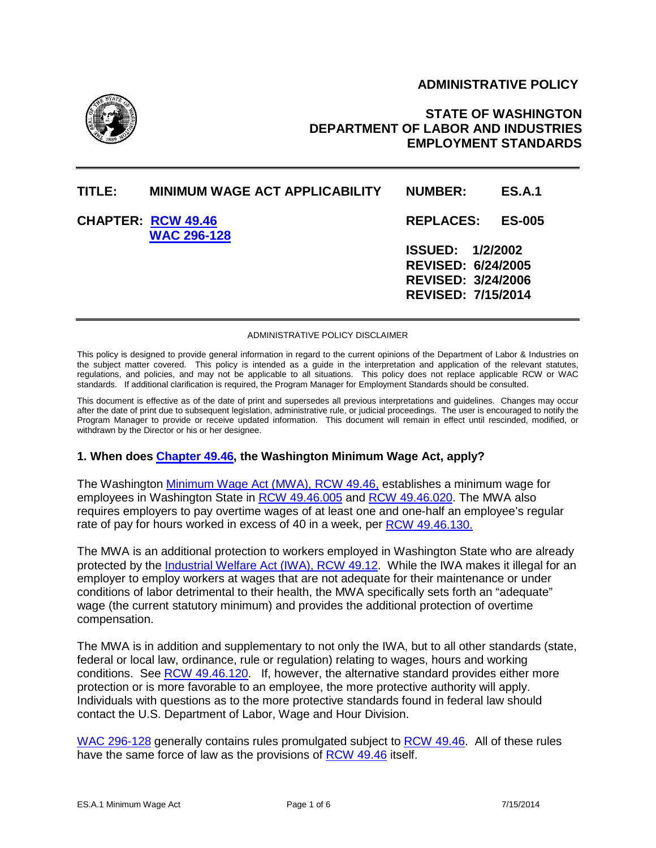## **ADMINISTRATIVE POLICY**



# **STATE OF WASHINGTON DEPARTMENT OF LABOR AND INDUSTRIES EMPLOYMENT STANDARDS**

| TITLE: I | <b>MINIMUM WAGE ACT APPLICABILITY</b>           | <b>NUMBER:</b>                                                                                                 | <b>ES.A.1</b> |
|----------|-------------------------------------------------|----------------------------------------------------------------------------------------------------------------|---------------|
|          | <b>CHAPTER: RCW 49.46</b><br><b>WAC 296-128</b> | <b>REPLACES:</b>                                                                                               | <b>ES-005</b> |
|          |                                                 | <b>ISSUED: 1/2/2002</b><br><b>REVISED: 6/24/2005</b><br><b>REVISED: 3/24/2006</b><br><b>REVISED: 7/15/2014</b> |               |

#### ADMINISTRATIVE POLICY DISCLAIMER

This policy is designed to provide general information in regard to the current opinions of the Department of Labor & Industries on the subject matter covered. This policy is intended as a guide in the interpretation and application of the relevant statutes, regulations, and policies, and may not be applicable to all situations. This policy does not replace applicable RCW or WAC standards. If additional clarification is required, the Program Manager for Employment Standards should be consulted.

This document is effective as of the date of print and supersedes all previous interpretations and guidelines. Changes may occur after the date of print due to subsequent legislation, administrative rule, or judicial proceedings. The user is encouraged to notify the Program Manager to provide or receive updated information. This document will remain in effect until rescinded, modified, or withdrawn by the Director or his or her designee.

### **1. When does [Chapter 49.46,](http://apps.leg.wa.gov/rcw/default.aspx?cite=49.46) the Washington Minimum Wage Act, apply?**

The Washington [Minimum Wage Act \(MWA\), RCW 49.46,](http://apps.leg.wa.gov/rcw/default.aspx?cite=49.46) establishes a minimum wage for employees in Washington State in [RCW 49.46.005](http://apps.leg.wa.gov/rcw/default.aspx?cite=49.46.005) and [RCW 49.46.020.](http://apps.leg.wa.gov/rcw/default.aspx?cite=49.46.020) The MWA also requires employers to pay overtime wages of at least one and one-half an employee's regular rate of pay for hours worked in excess of 40 in a week, per [RCW 49.46.130.](http://apps.leg.wa.gov/rcw/default.aspx?cite=49.46.130)

The MWA is an additional protection to workers employed in Washington State who are already protected by the [Industrial Welfare Act \(IWA\), RCW 49.12.](http://apps.leg.wa.gov/rcw/default.aspx?cite=49.12) While the IWA makes it illegal for an employer to employ workers at wages that are not adequate for their maintenance or under conditions of labor detrimental to their health, the MWA specifically sets forth an "adequate" wage (the current statutory minimum) and provides the additional protection of overtime compensation.

The MWA is in addition and supplementary to not only the IWA, but to all other standards (state, federal or local law, ordinance, rule or regulation) relating to wages, hours and working conditions. See [RCW 49.46.120.](http://apps.leg.wa.gov/rcw/default.aspx?cite=49.46.120) If, however, the alternative standard provides either more protection or is more favorable to an employee, the more protective authority will apply. Individuals with questions as to the more protective standards found in federal law should contact the U.S. Department of Labor, Wage and Hour Division.

[WAC 296-128](http://app.leg.wa.gov/WAC/default.aspx?cite=296-128) generally contains rules promulgated subject to [RCW 49.46.](http://apps.leg.wa.gov/rcw/default.aspx?cite=49.46) All of these rules have the same force of law as the provisions of [RCW 49.46](http://apps.leg.wa.gov/rcw/default.aspx?cite=49.46) itself.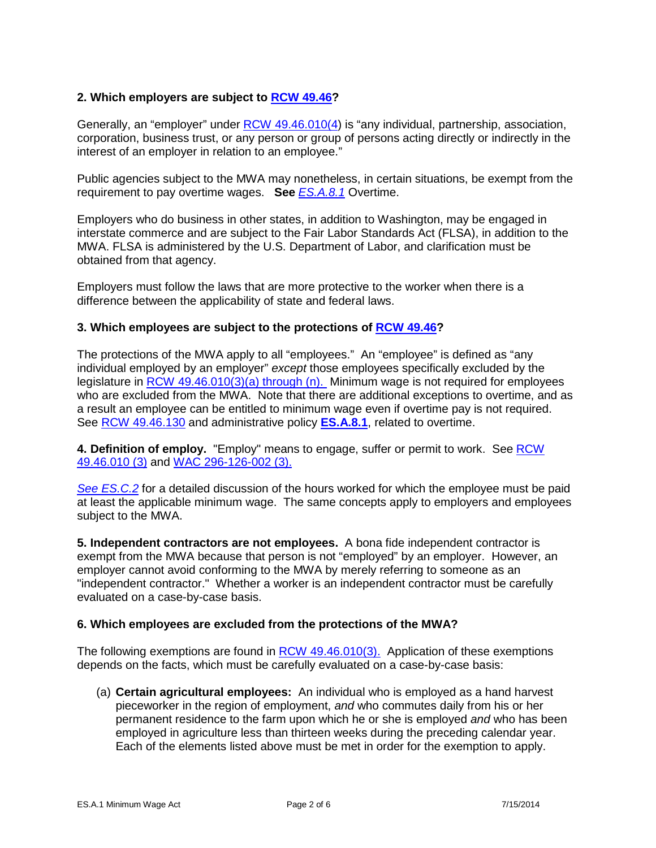## **2. Which employers are subject to [RCW 49.46?](http://apps.leg.wa.gov/rcw/default.aspx?cite=49.46)**

Generally, an "employer" under [RCW 49.46.010\(4\)](http://apps.leg.wa.gov/rcw/default.aspx?cite=49.46.010) is "any individual, partnership, association, corporation, business trust, or any person or group of persons acting directly or indirectly in the interest of an employer in relation to an employee."

Public agencies subject to the MWA may nonetheless, in certain situations, be exempt from the requirement to pay overtime wages. **See** *[ES.A.8.1](http://www.lni.wa.gov/WorkplaceRights/Rules/Policies/default.asp)* Overtime.

Employers who do business in other states, in addition to Washington, may be engaged in interstate commerce and are subject to the Fair Labor Standards Act (FLSA), in addition to the MWA. FLSA is administered by the U.S. Department of Labor, and clarification must be obtained from that agency.

Employers must follow the laws that are more protective to the worker when there is a difference between the applicability of state and federal laws.

### **3. Which employees are subject to the protections of [RCW 49.46?](http://apps.leg.wa.gov/rcw/default.aspx?cite=49.46)**

The protections of the MWA apply to all "employees." An "employee" is defined as "any individual employed by an employer" *except* those employees specifically excluded by the legislature in **RCW 49.46.010(3)(a)** through (n). Minimum wage is not required for employees who are excluded from the MWA. Note that there are additional exceptions to overtime, and as a result an employee can be entitled to minimum wage even if overtime pay is not required. See [RCW 49.46.130](http://apps.leg.wa.gov/rcw/default.aspx?cite=49.46.130) and administrative policy **[ES.A.8.1](http://www.lni.wa.gov/WorkplaceRights/Rules/Policies/default.asp)**, related to overtime.

**4. Definition of employ.** "Employ" means to engage, suffer or permit to work. See [RCW](http://apps.leg.wa.gov/rcw/default.aspx?cite=49.46.010)  [49.46.010 \(3\)](http://apps.leg.wa.gov/rcw/default.aspx?cite=49.46.010) and [WAC 296-126-002 \(3\).](http://app.leg.wa.gov/WAC/default.aspx?cite=296-126-002)

*[See ES.C.2](http://www.lni.wa.gov/WorkplaceRights/files/policies/esc2.pdf)* for a detailed discussion of the hours worked for which the employee must be paid at least the applicable minimum wage. The same concepts apply to employers and employees subject to the MWA.

**5. Independent contractors are not employees.** A bona fide independent contractor is exempt from the MWA because that person is not "employed" by an employer. However, an employer cannot avoid conforming to the MWA by merely referring to someone as an "independent contractor." Whether a worker is an independent contractor must be carefully evaluated on a case-by-case basis.

#### **6. Which employees are excluded from the protections of the MWA?**

The following exemptions are found in [RCW 49.46.010\(3\).](http://apps.leg.wa.gov/rcw/default.aspx?cite=49.46.010) Application of these exemptions depends on the facts, which must be carefully evaluated on a case-by-case basis:

(a) **Certain agricultural employees:** An individual who is employed as a hand harvest pieceworker in the region of employment, *and* who commutes daily from his or her permanent residence to the farm upon which he or she is employed *and* who has been employed in agriculture less than thirteen weeks during the preceding calendar year. Each of the elements listed above must be met in order for the exemption to apply.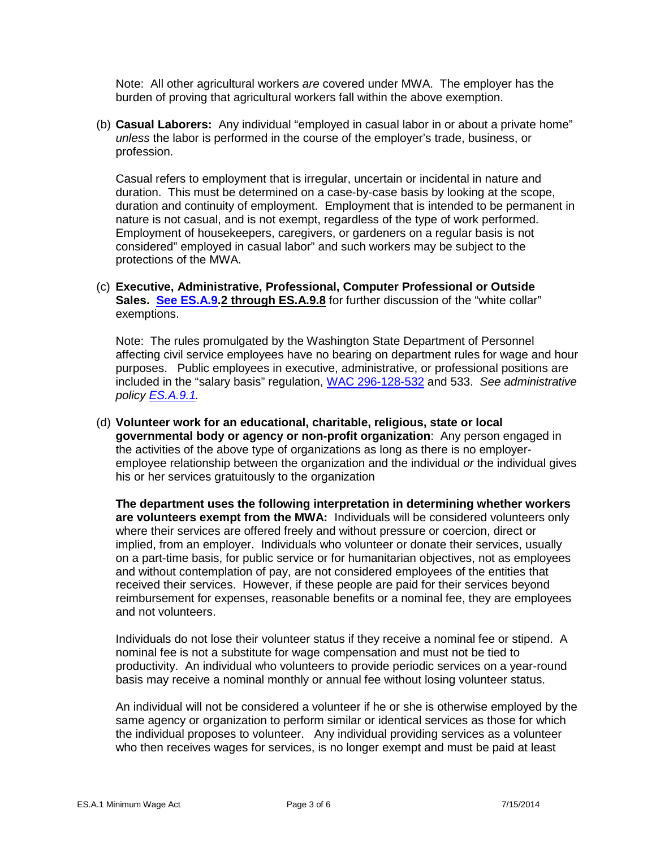Note: All other agricultural workers *are* covered under MWA. The employer has the burden of proving that agricultural workers fall within the above exemption.

(b) **Casual Laborers:** Any individual "employed in casual labor in or about a private home" *unless* the labor is performed in the course of the employer's trade, business, or profession.

Casual refers to employment that is irregular, uncertain or incidental in nature and duration. This must be determined on a case-by-case basis by looking at the scope, duration and continuity of employment. Employment that is intended to be permanent in nature is not casual, and is not exempt, regardless of the type of work performed. Employment of housekeepers, caregivers, or gardeners on a regular basis is not considered" employed in casual labor" and such workers may be subject to the protections of the MWA.

## (c) **Executive, Administrative, Professional, Computer Professional or Outside Sales. [See ES.A.9.](http://www.lni.wa.gov/WorkplaceRights/Rules/Policies/default.asp)2 through ES.A.9.8** for further discussion of the "white collar" exemptions.

Note: The rules promulgated by the Washington State Department of Personnel affecting civil service employees have no bearing on department rules for wage and hour purposes. Public employees in executive, administrative, or professional positions are included in the "salary basis" regulation, [WAC 296-128-532](http://app.leg.wa.gov/WAC/default.aspx?cite=296-128-532) and 533. *See administrative policy [ES.A.9.1.](http://www.lni.wa.gov/WorkplaceRights/Rules/Policies/default.asp)* 

(d) **Volunteer work for an educational, charitable, religious, state or local governmental body or agency or non-profit organization**: Any person engaged in the activities of the above type of organizations as long as there is no employeremployee relationship between the organization and the individual *or* the individual gives his or her services gratuitously to the organization

**The department uses the following interpretation in determining whether workers are volunteers exempt from the MWA:** Individuals will be considered volunteers only where their services are offered freely and without pressure or coercion, direct or implied, from an employer. Individuals who volunteer or donate their services, usually on a part-time basis, for public service or for humanitarian objectives, not as employees and without contemplation of pay, are not considered employees of the entities that received their services. However, if these people are paid for their services beyond reimbursement for expenses, reasonable benefits or a nominal fee, they are employees and not volunteers.

Individuals do not lose their volunteer status if they receive a nominal fee or stipend. A nominal fee is not a substitute for wage compensation and must not be tied to productivity. An individual who volunteers to provide periodic services on a year-round basis may receive a nominal monthly or annual fee without losing volunteer status.

An individual will not be considered a volunteer if he or she is otherwise employed by the same agency or organization to perform similar or identical services as those for which the individual proposes to volunteer. Any individual providing services as a volunteer who then receives wages for services, is no longer exempt and must be paid at least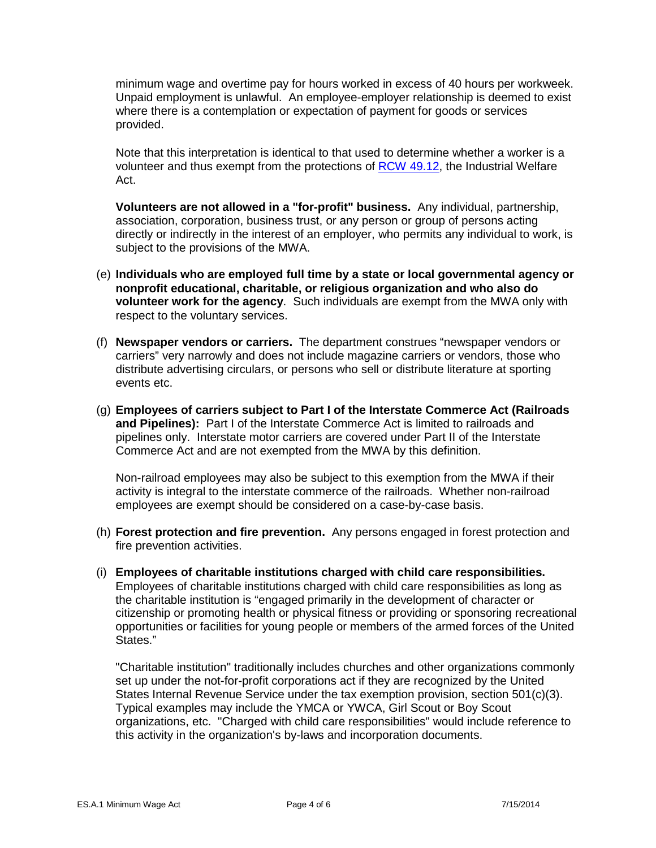minimum wage and overtime pay for hours worked in excess of 40 hours per workweek. Unpaid employment is unlawful. An employee-employer relationship is deemed to exist where there is a contemplation or expectation of payment for goods or services provided.

Note that this interpretation is identical to that used to determine whether a worker is a volunteer and thus exempt from the protections of [RCW 49.12,](http://app.leg.wa.gov/rcw/default.aspx?cite=49.12) the Industrial Welfare Act.

**Volunteers are not allowed in a "for-profit" business.** Any individual, partnership, association, corporation, business trust, or any person or group of persons acting directly or indirectly in the interest of an employer, who permits any individual to work, is subject to the provisions of the MWA.

- (e) **Individuals who are employed full time by a state or local governmental agency or nonprofit educational, charitable, or religious organization and who also do volunteer work for the agency**. Such individuals are exempt from the MWA only with respect to the voluntary services.
- (f) **Newspaper vendors or carriers.** The department construes "newspaper vendors or carriers" very narrowly and does not include magazine carriers or vendors, those who distribute advertising circulars, or persons who sell or distribute literature at sporting events etc.
- (g) **Employees of carriers subject to Part I of the Interstate Commerce Act (Railroads and Pipelines):** Part I of the Interstate Commerce Act is limited to railroads and pipelines only. Interstate motor carriers are covered under Part II of the Interstate Commerce Act and are not exempted from the MWA by this definition.

Non-railroad employees may also be subject to this exemption from the MWA if their activity is integral to the interstate commerce of the railroads. Whether non-railroad employees are exempt should be considered on a case-by-case basis.

- (h) **Forest protection and fire prevention.** Any persons engaged in forest protection and fire prevention activities.
- (i) **Employees of charitable institutions charged with child care responsibilities.**  Employees of charitable institutions charged with child care responsibilities as long as the charitable institution is "engaged primarily in the development of character or citizenship or promoting health or physical fitness or providing or sponsoring recreational opportunities or facilities for young people or members of the armed forces of the United States."

"Charitable institution" traditionally includes churches and other organizations commonly set up under the not-for-profit corporations act if they are recognized by the United States Internal Revenue Service under the tax exemption provision, section 501(c)(3). Typical examples may include the YMCA or YWCA, Girl Scout or Boy Scout organizations, etc. "Charged with child care responsibilities" would include reference to this activity in the organization's by-laws and incorporation documents.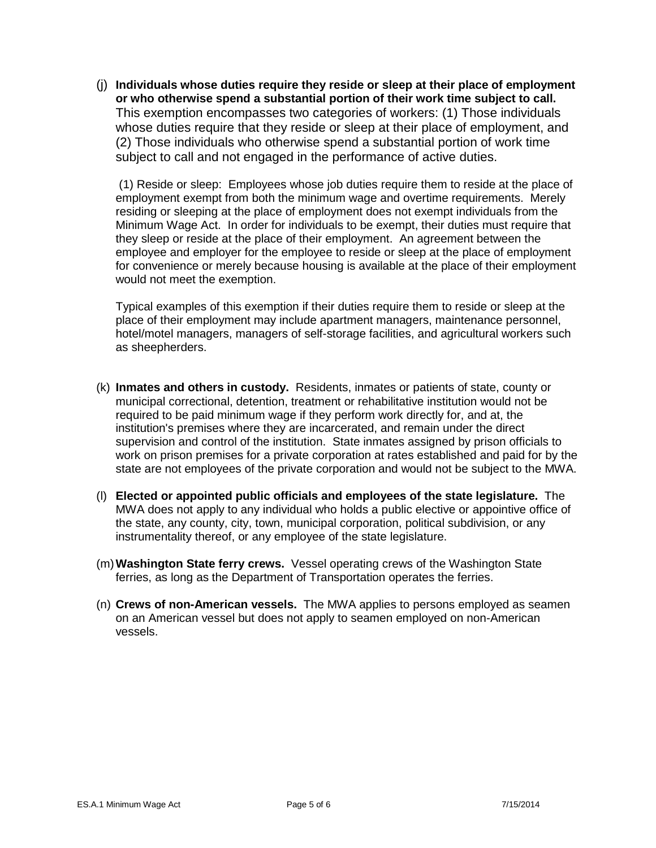(j) **Individuals whose duties require they reside or sleep at their place of employment or who otherwise spend a substantial portion of their work time subject to call.** This exemption encompasses two categories of workers: (1) Those individuals whose duties require that they reside or sleep at their place of employment, and (2) Those individuals who otherwise spend a substantial portion of work time subject to call and not engaged in the performance of active duties.

(1) Reside or sleep: Employees whose job duties require them to reside at the place of employment exempt from both the minimum wage and overtime requirements. Merely residing or sleeping at the place of employment does not exempt individuals from the Minimum Wage Act. In order for individuals to be exempt, their duties must require that they sleep or reside at the place of their employment. An agreement between the employee and employer for the employee to reside or sleep at the place of employment for convenience or merely because housing is available at the place of their employment would not meet the exemption.

Typical examples of this exemption if their duties require them to reside or sleep at the place of their employment may include apartment managers, maintenance personnel, hotel/motel managers, managers of self-storage facilities, and agricultural workers such as sheepherders.

- (k) **Inmates and others in custody.** Residents, inmates or patients of state, county or municipal correctional, detention, treatment or rehabilitative institution would not be required to be paid minimum wage if they perform work directly for, and at, the institution's premises where they are incarcerated, and remain under the direct supervision and control of the institution. State inmates assigned by prison officials to work on prison premises for a private corporation at rates established and paid for by the state are not employees of the private corporation and would not be subject to the MWA.
- (l) **Elected or appointed public officials and employees of the state legislature.** The MWA does not apply to any individual who holds a public elective or appointive office of the state, any county, city, town, municipal corporation, political subdivision, or any instrumentality thereof, or any employee of the state legislature.
- (m)**Washington State ferry crews.** Vessel operating crews of the Washington State ferries, as long as the Department of Transportation operates the ferries.
- (n) **Crews of non-American vessels.** The MWA applies to persons employed as seamen on an American vessel but does not apply to seamen employed on non-American vessels.